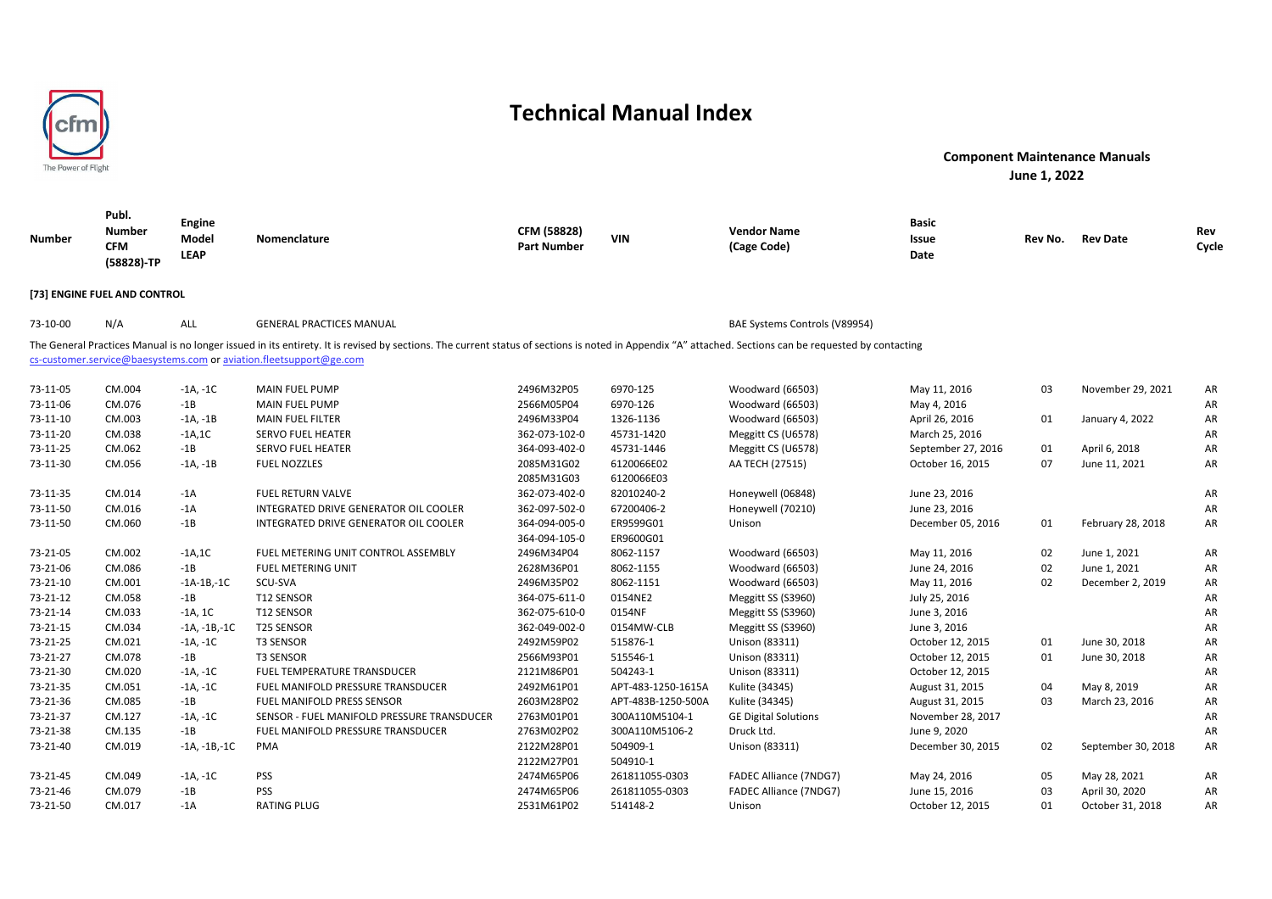

| <b>Number</b> | Publ.<br><b>Number</b><br><b>CFM</b><br>(58828)-TP | Engine<br>Model<br><b>LEAP</b> | Nomenclature                                                                                                                                                                                                                                                                 | CFM (58828)<br><b>Part Number</b> | <b>VIN</b>         | <b>Vendor Name</b><br>(Cage Code) | Basic<br>Issue<br>Date | Rev No. | <b>Rev Date</b>    | Rev<br>Cycle |
|---------------|----------------------------------------------------|--------------------------------|------------------------------------------------------------------------------------------------------------------------------------------------------------------------------------------------------------------------------------------------------------------------------|-----------------------------------|--------------------|-----------------------------------|------------------------|---------|--------------------|--------------|
|               | [73] ENGINE FUEL AND CONTROL                       |                                |                                                                                                                                                                                                                                                                              |                                   |                    |                                   |                        |         |                    |              |
| 73-10-00      | N/A                                                | ALL                            | <b>GENERAL PRACTICES MANUAL</b>                                                                                                                                                                                                                                              |                                   |                    | BAE Systems Controls (V89954)     |                        |         |                    |              |
|               |                                                    |                                | The General Practices Manual is no longer issued in its entirety. It is revised by sections. The current status of sections is noted in Appendix "A" attached. Sections can be requested by contacting<br>cs-customer.service@baesystems.com or aviation.fleetsupport@ge.com |                                   |                    |                                   |                        |         |                    |              |
| 73-11-05      | CM.004                                             | $-1A, -1C$                     | <b>MAIN FUEL PUMP</b>                                                                                                                                                                                                                                                        | 2496M32P05                        | 6970-125           | Woodward (66503)                  | May 11, 2016           | 03      | November 29, 2021  | AR           |
| 73-11-06      | CM.076                                             | $-1B$                          | <b>MAIN FUEL PUMP</b>                                                                                                                                                                                                                                                        | 2566M05P04                        | 6970-126           | Woodward (66503)                  | May 4, 2016            |         |                    | AR           |
| 73-11-10      | CM.003                                             | $-1A, -1B$                     | <b>MAIN FUEL FILTER</b>                                                                                                                                                                                                                                                      | 2496M33P04                        | 1326-1136          | Woodward (66503)                  | April 26, 2016         | 01      | January 4, 2022    | AR           |
| 73-11-20      | CM.038                                             | $-1A, 1C$                      | <b>SERVO FUEL HEATER</b>                                                                                                                                                                                                                                                     | 362-073-102-0                     | 45731-1420         | Meggitt CS (U6578)                | March 25, 2016         |         |                    | AR           |
| 73-11-25      | CM.062                                             | $-1B$                          | <b>SERVO FUEL HEATER</b>                                                                                                                                                                                                                                                     | 364-093-402-0                     | 45731-1446         | Meggitt CS (U6578)                | September 27, 2016     | 01      | April 6, 2018      | AR           |
| 73-11-30      | CM.056                                             | $-1A, -1B$                     | <b>FUEL NOZZLES</b>                                                                                                                                                                                                                                                          | 2085M31G02                        | 6120066E02         | AA TECH (27515)                   | October 16, 2015       | 07      | June 11, 2021      | AR           |
|               |                                                    |                                |                                                                                                                                                                                                                                                                              | 2085M31G03                        | 6120066E03         |                                   |                        |         |                    |              |
| 73-11-35      | CM.014                                             | $-1A$                          | <b>FUEL RETURN VALVE</b>                                                                                                                                                                                                                                                     | 362-073-402-0                     | 82010240-2         | Honeywell (06848)                 | June 23, 2016          |         |                    | AR           |
| 73-11-50      | CM.016                                             | $-1A$                          | INTEGRATED DRIVE GENERATOR OIL COOLER                                                                                                                                                                                                                                        | 362-097-502-0                     | 67200406-2         | Honeywell (70210)                 | June 23, 2016          |         |                    | AR           |
| 73-11-50      | CM.060                                             | $-1B$                          | INTEGRATED DRIVE GENERATOR OIL COOLER                                                                                                                                                                                                                                        | 364-094-005-0                     | ER9599G01          | Unison                            | December 05, 2016      | 01      | February 28, 2018  | AR           |
|               |                                                    |                                |                                                                                                                                                                                                                                                                              | 364-094-105-0                     | ER9600G01          |                                   |                        |         |                    |              |
| 73-21-05      | CM.002                                             | $-1A, 1C$                      | FUEL METERING UNIT CONTROL ASSEMBLY                                                                                                                                                                                                                                          | 2496M34P04                        | 8062-1157          | Woodward (66503)                  | May 11, 2016           | 02      | June 1, 2021       | AR           |
| 73-21-06      | CM.086                                             | $-1B$                          | <b>FUEL METERING UNIT</b>                                                                                                                                                                                                                                                    | 2628M36P01                        | 8062-1155          | Woodward (66503)                  | June 24, 2016          | 02      | June 1, 2021       | AR           |
| 73-21-10      | CM.001                                             | $-1A-1B-1C$                    | SCU-SVA                                                                                                                                                                                                                                                                      | 2496M35P02                        | 8062-1151          | Woodward (66503)                  | May 11, 2016           | 02      | December 2, 2019   | AR           |
| 73-21-12      | CM.058                                             | $-1B$                          | T12 SENSOR                                                                                                                                                                                                                                                                   | 364-075-611-0                     | 0154NE2            | Meggitt SS (S3960)                | July 25, 2016          |         |                    | AR           |
| 73-21-14      | CM.033                                             | -1A, 1C                        | T12 SENSOR                                                                                                                                                                                                                                                                   | 362-075-610-0                     | 0154NF             | Meggitt SS (S3960)                | June 3, 2016           |         |                    | AR           |
| 73-21-15      | CM.034                                             | $-1A, -1B, -1C$                | <b>T25 SENSOR</b>                                                                                                                                                                                                                                                            | 362-049-002-0                     | 0154MW-CLB         | Meggitt SS (S3960)                | June 3, 2016           |         |                    | AR           |
| 73-21-25      | CM.021                                             | $-1A, -1C$                     | <b>T3 SENSOR</b>                                                                                                                                                                                                                                                             | 2492M59P02                        | 515876-1           | Unison (83311)                    | October 12, 2015       | 01      | June 30, 2018      | AR           |
| 73-21-27      | CM.078                                             | $-1B$                          | <b>T3 SENSOR</b>                                                                                                                                                                                                                                                             | 2566M93P01                        | 515546-1           | Unison (83311)                    | October 12, 2015       | 01      | June 30, 2018      | AR           |
| 73-21-30      | CM.020                                             | -1A, -1C                       | <b>FUEL TEMPERATURE TRANSDUCER</b>                                                                                                                                                                                                                                           | 2121M86P01                        | 504243-1           | Unison (83311)                    | October 12, 2015       |         |                    | AR           |
| 73-21-35      | CM.051                                             | $-1A, -1C$                     | FUEL MANIFOLD PRESSURE TRANSDUCER                                                                                                                                                                                                                                            | 2492M61P01                        | APT-483-1250-1615A | Kulite (34345)                    | August 31, 2015        | 04      | May 8, 2019        | AR           |
| 73-21-36      | CM.085                                             | $-1B$                          | FUEL MANIFOLD PRESS SENSOR                                                                                                                                                                                                                                                   | 2603M28P02                        | APT-483B-1250-500A | Kulite (34345)                    | August 31, 2015        | 03      | March 23, 2016     | AR           |
| 73-21-37      | CM.127                                             | -1A, -1C                       | SENSOR - FUEL MANIFOLD PRESSURE TRANSDUCER                                                                                                                                                                                                                                   | 2763M01P01                        | 300A110M5104-1     | <b>GE Digital Solutions</b>       | November 28, 2017      |         |                    | AR           |
| 73-21-38      | CM.135                                             | $-1B$                          | FUEL MANIFOLD PRESSURE TRANSDUCER                                                                                                                                                                                                                                            | 2763M02P02                        | 300A110M5106-2     | Druck Ltd.                        | June 9, 2020           |         |                    | AR           |
| 73-21-40      | CM.019                                             | $-1A, -1B, -1C$                | PMA                                                                                                                                                                                                                                                                          | 2122M28P01                        | 504909-1           | Unison (83311)                    | December 30, 2015      | 02      | September 30, 2018 | AR           |
|               |                                                    |                                |                                                                                                                                                                                                                                                                              | 2122M27P01                        | 504910-1           |                                   |                        |         |                    |              |
| 73-21-45      | CM.049                                             | $-1A, -1C$                     | PSS                                                                                                                                                                                                                                                                          | 2474M65P06                        | 261811055-0303     | FADEC Alliance (7NDG7)            | May 24, 2016           | 05      | May 28, 2021       | AR           |
| 73-21-46      | CM.079                                             | $-1B$                          | PSS                                                                                                                                                                                                                                                                          | 2474M65P06                        | 261811055-0303     | FADEC Alliance (7NDG7)            | June 15, 2016          | 03      | April 30, 2020     | AR           |
| 73-21-50      | CM.017                                             | $-1A$                          | <b>RATING PLUG</b>                                                                                                                                                                                                                                                           | 2531M61P02                        | 514148-2           | Unison                            | October 12, 2015       | 01      | October 31, 2018   | AR           |
|               |                                                    |                                |                                                                                                                                                                                                                                                                              |                                   |                    |                                   |                        |         |                    |              |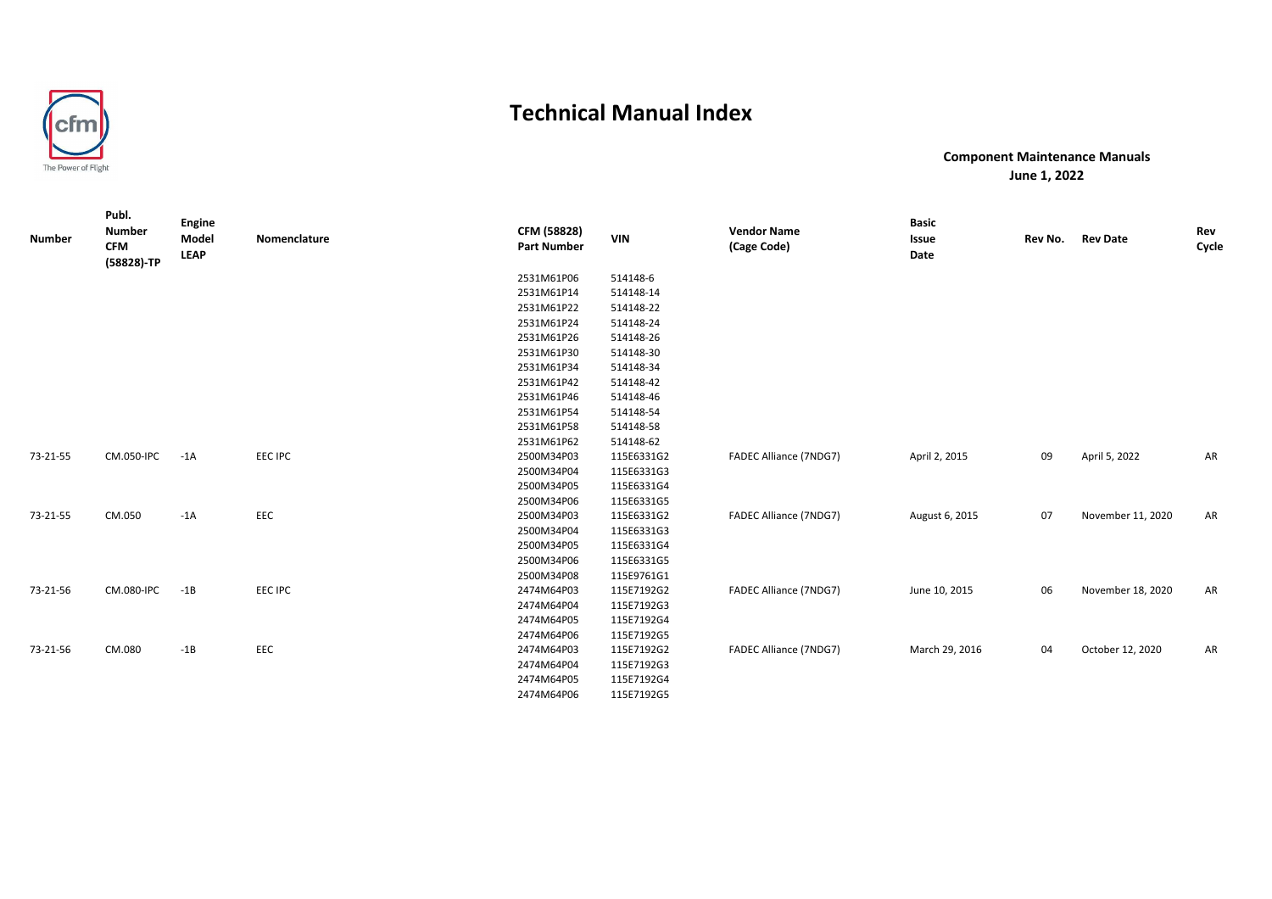

| <b>Number</b> | Publ.<br><b>Number</b><br><b>CFM</b><br>(58828)-TP | <b>Engine</b><br>Model<br><b>LEAP</b> | Nomenclature   | CFM (58828)<br><b>Part Number</b> | <b>VIN</b> | <b>Vendor Name</b><br>(Cage Code) | <b>Basic</b><br>Issue<br>Date | Rev No. | <b>Rev Date</b>   | Rev<br>Cycle |
|---------------|----------------------------------------------------|---------------------------------------|----------------|-----------------------------------|------------|-----------------------------------|-------------------------------|---------|-------------------|--------------|
|               |                                                    |                                       |                | 2531M61P06                        | 514148-6   |                                   |                               |         |                   |              |
|               |                                                    |                                       |                | 2531M61P14                        | 514148-14  |                                   |                               |         |                   |              |
|               |                                                    |                                       |                | 2531M61P22                        | 514148-22  |                                   |                               |         |                   |              |
|               |                                                    |                                       |                | 2531M61P24                        | 514148-24  |                                   |                               |         |                   |              |
|               |                                                    |                                       |                | 2531M61P26                        | 514148-26  |                                   |                               |         |                   |              |
|               |                                                    |                                       |                | 2531M61P30                        | 514148-30  |                                   |                               |         |                   |              |
|               |                                                    |                                       |                | 2531M61P34                        | 514148-34  |                                   |                               |         |                   |              |
|               |                                                    |                                       |                | 2531M61P42                        | 514148-42  |                                   |                               |         |                   |              |
|               |                                                    |                                       |                | 2531M61P46                        | 514148-46  |                                   |                               |         |                   |              |
|               |                                                    |                                       |                | 2531M61P54                        | 514148-54  |                                   |                               |         |                   |              |
|               |                                                    |                                       |                | 2531M61P58                        | 514148-58  |                                   |                               |         |                   |              |
|               |                                                    |                                       |                | 2531M61P62                        | 514148-62  |                                   |                               |         |                   |              |
| 73-21-55      | CM.050-IPC                                         | $-1A$                                 | <b>EEC IPC</b> | 2500M34P03                        | 115E6331G2 | FADEC Alliance (7NDG7)            | April 2, 2015                 | 09      | April 5, 2022     | AR           |
|               |                                                    |                                       |                | 2500M34P04                        | 115E6331G3 |                                   |                               |         |                   |              |
|               |                                                    |                                       |                | 2500M34P05                        | 115E6331G4 |                                   |                               |         |                   |              |
|               |                                                    |                                       |                | 2500M34P06                        | 115E6331G5 |                                   |                               |         |                   |              |
| 73-21-55      | CM.050                                             | $-1A$                                 | EEC            | 2500M34P03                        | 115E6331G2 | FADEC Alliance (7NDG7)            | August 6, 2015                | 07      | November 11, 2020 | AR           |
|               |                                                    |                                       |                | 2500M34P04                        | 115E6331G3 |                                   |                               |         |                   |              |
|               |                                                    |                                       |                | 2500M34P05                        | 115E6331G4 |                                   |                               |         |                   |              |
|               |                                                    |                                       |                | 2500M34P06                        | 115E6331G5 |                                   |                               |         |                   |              |
|               |                                                    |                                       |                | 2500M34P08                        | 115E9761G1 |                                   |                               |         |                   |              |
| 73-21-56      | CM.080-IPC                                         | $-1B$                                 | <b>EEC IPC</b> | 2474M64P03                        | 115E7192G2 | FADEC Alliance (7NDG7)            | June 10, 2015                 | 06      | November 18, 2020 | AR           |
|               |                                                    |                                       |                | 2474M64P04                        | 115E7192G3 |                                   |                               |         |                   |              |
|               |                                                    |                                       |                | 2474M64P05                        | 115E7192G4 |                                   |                               |         |                   |              |
|               |                                                    |                                       |                | 2474M64P06                        | 115E7192G5 |                                   |                               |         |                   |              |
| 73-21-56      | CM.080                                             | $-1B$                                 | EEC            | 2474M64P03                        | 115E7192G2 | FADEC Alliance (7NDG7)            | March 29, 2016                | 04      | October 12, 2020  | AR           |
|               |                                                    |                                       |                | 2474M64P04                        | 115E7192G3 |                                   |                               |         |                   |              |
|               |                                                    |                                       |                | 2474M64P05                        | 115E7192G4 |                                   |                               |         |                   |              |
|               |                                                    |                                       |                | 2474M64P06                        | 115E7192G5 |                                   |                               |         |                   |              |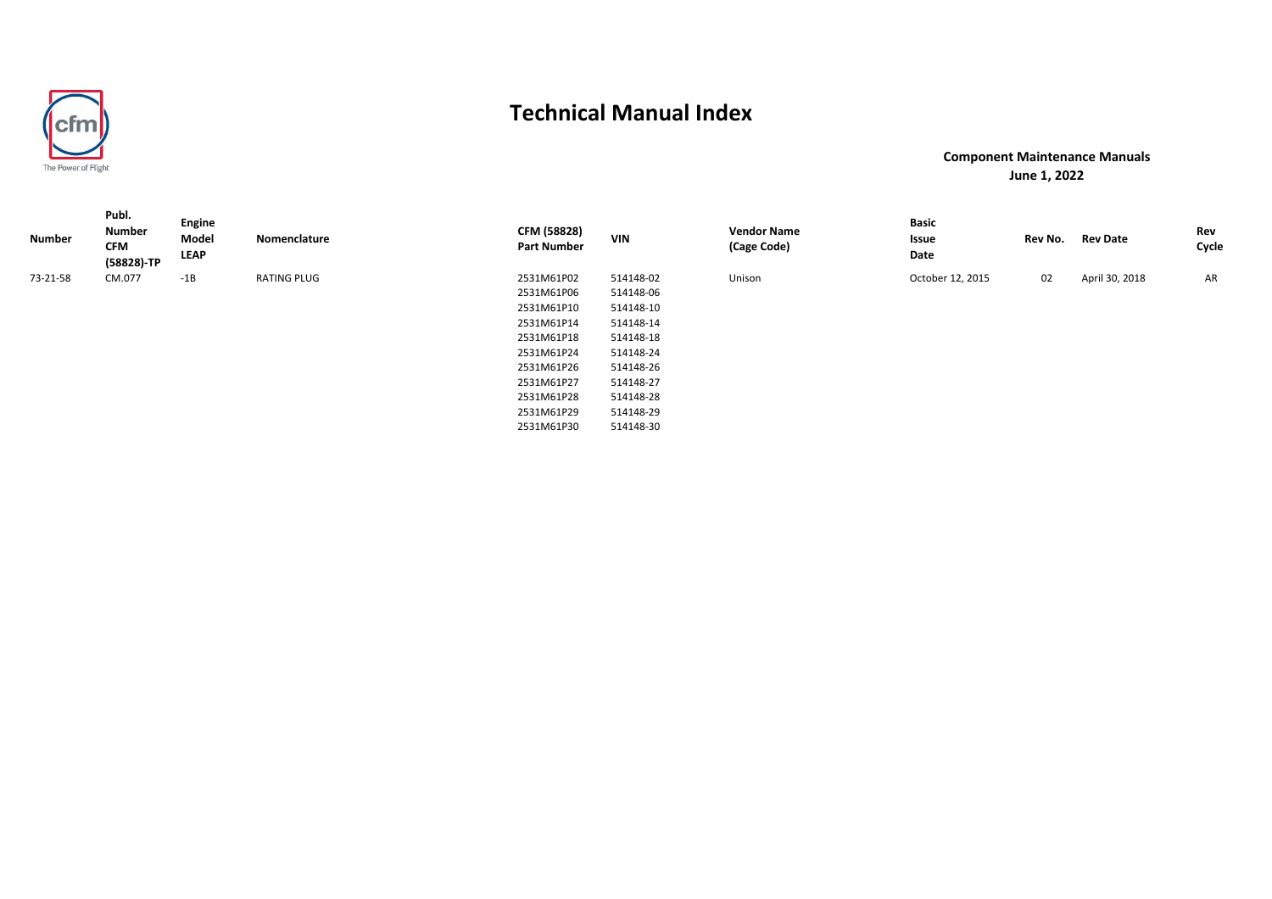

**Component Maintenance ManualsJune 1, 2022**

| Number   | Publ.<br><b>Number</b><br><b>CFM</b><br>(58828)-TP | Engine<br>Model<br><b>LEAP</b> | Nomenclature       | CFM (58828)<br><b>Part Number</b> | <b>VIN</b> | <b>Vendor Name</b><br>(Cage Code) | <b>Basic</b><br>Issue<br>Date | Rev No. | <b>Rev Date</b> | Rev<br>Cycle |
|----------|----------------------------------------------------|--------------------------------|--------------------|-----------------------------------|------------|-----------------------------------|-------------------------------|---------|-----------------|--------------|
| 73-21-58 | CM.077                                             | $-1B$                          | <b>RATING PLUG</b> | 2531M61P02                        | 514148-02  | Unison                            | October 12, 2015              | 02      | April 30, 2018  | AR           |
|          |                                                    |                                |                    | 2531M61P06                        | 514148-06  |                                   |                               |         |                 |              |
|          |                                                    |                                |                    | 2531M61P10                        | 514148-10  |                                   |                               |         |                 |              |
|          |                                                    |                                |                    | 2531M61P14                        | 514148-14  |                                   |                               |         |                 |              |
|          |                                                    |                                |                    | 2531M61P18                        | 514148-18  |                                   |                               |         |                 |              |
|          |                                                    |                                |                    | 2531M61P24                        | 514148-24  |                                   |                               |         |                 |              |
|          |                                                    |                                |                    | 2531M61P26                        | 514148-26  |                                   |                               |         |                 |              |
|          |                                                    |                                |                    | 2531M61P27                        | 514148-27  |                                   |                               |         |                 |              |
|          |                                                    |                                |                    | 2531M61P28                        | 514148-28  |                                   |                               |         |                 |              |
|          |                                                    |                                |                    | 2531M61P29                        | 514148-29  |                                   |                               |         |                 |              |
|          |                                                    |                                |                    | 2531M61P30                        | 514148-30  |                                   |                               |         |                 |              |

514148-30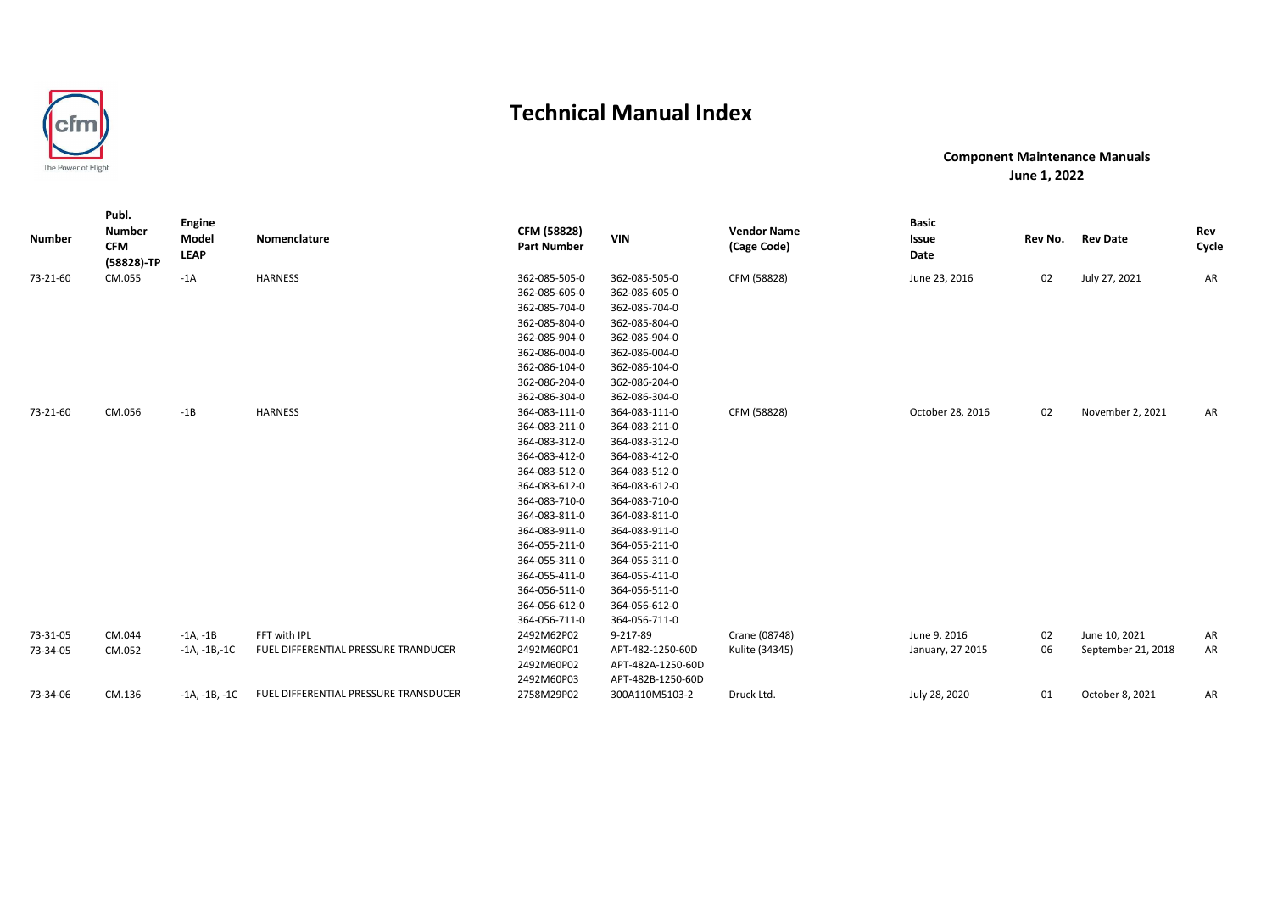

| <b>Number</b> | Publ.<br><b>Number</b><br><b>CFM</b><br>(58828)-TP | <b>Engine</b><br>Model<br><b>LEAP</b> | Nomenclature                          | CFM (58828)<br><b>Part Number</b> | <b>VIN</b>        | <b>Vendor Name</b><br>(Cage Code) | <b>Basic</b><br>Issue<br>Date | Rev No. | <b>Rev Date</b>    | Rev<br>Cycle |
|---------------|----------------------------------------------------|---------------------------------------|---------------------------------------|-----------------------------------|-------------------|-----------------------------------|-------------------------------|---------|--------------------|--------------|
| 73-21-60      | CM.055                                             | $-1A$                                 | <b>HARNESS</b>                        | 362-085-505-0                     | 362-085-505-0     | CFM (58828)                       | June 23, 2016                 | 02      | July 27, 2021      | AR           |
|               |                                                    |                                       |                                       | 362-085-605-0                     | 362-085-605-0     |                                   |                               |         |                    |              |
|               |                                                    |                                       |                                       | 362-085-704-0                     | 362-085-704-0     |                                   |                               |         |                    |              |
|               |                                                    |                                       |                                       | 362-085-804-0                     | 362-085-804-0     |                                   |                               |         |                    |              |
|               |                                                    |                                       |                                       | 362-085-904-0                     | 362-085-904-0     |                                   |                               |         |                    |              |
|               |                                                    |                                       |                                       | 362-086-004-0                     | 362-086-004-0     |                                   |                               |         |                    |              |
|               |                                                    |                                       |                                       | 362-086-104-0                     | 362-086-104-0     |                                   |                               |         |                    |              |
|               |                                                    |                                       |                                       | 362-086-204-0                     | 362-086-204-0     |                                   |                               |         |                    |              |
|               |                                                    |                                       |                                       | 362-086-304-0                     | 362-086-304-0     |                                   |                               |         |                    |              |
| 73-21-60      | CM.056                                             | $-1B$                                 | <b>HARNESS</b>                        | 364-083-111-0                     | 364-083-111-0     | CFM (58828)                       | October 28, 2016              | 02      | November 2, 2021   | AR           |
|               |                                                    |                                       |                                       | 364-083-211-0                     | 364-083-211-0     |                                   |                               |         |                    |              |
|               |                                                    |                                       |                                       | 364-083-312-0                     | 364-083-312-0     |                                   |                               |         |                    |              |
|               |                                                    |                                       |                                       | 364-083-412-0                     | 364-083-412-0     |                                   |                               |         |                    |              |
|               |                                                    |                                       |                                       | 364-083-512-0                     | 364-083-512-0     |                                   |                               |         |                    |              |
|               |                                                    |                                       |                                       | 364-083-612-0                     | 364-083-612-0     |                                   |                               |         |                    |              |
|               |                                                    |                                       |                                       | 364-083-710-0                     | 364-083-710-0     |                                   |                               |         |                    |              |
|               |                                                    |                                       |                                       | 364-083-811-0                     | 364-083-811-0     |                                   |                               |         |                    |              |
|               |                                                    |                                       |                                       | 364-083-911-0                     | 364-083-911-0     |                                   |                               |         |                    |              |
|               |                                                    |                                       |                                       | 364-055-211-0                     | 364-055-211-0     |                                   |                               |         |                    |              |
|               |                                                    |                                       |                                       | 364-055-311-0                     | 364-055-311-0     |                                   |                               |         |                    |              |
|               |                                                    |                                       |                                       | 364-055-411-0                     | 364-055-411-0     |                                   |                               |         |                    |              |
|               |                                                    |                                       |                                       | 364-056-511-0                     | 364-056-511-0     |                                   |                               |         |                    |              |
|               |                                                    |                                       |                                       | 364-056-612-0                     | 364-056-612-0     |                                   |                               |         |                    |              |
|               |                                                    |                                       |                                       | 364-056-711-0                     | 364-056-711-0     |                                   |                               |         |                    |              |
| 73-31-05      | CM.044                                             | $-1A, -1B$                            | FFT with IPL                          | 2492M62P02                        | 9-217-89          | Crane (08748)                     | June 9, 2016                  | 02      | June 10, 2021      | AR           |
| 73-34-05      | CM.052                                             | $-1A, -1B, -1C$                       | FUEL DIFFERENTIAL PRESSURE TRANDUCER  | 2492M60P01                        | APT-482-1250-60D  | Kulite (34345)                    | January, 27 2015              | 06      | September 21, 2018 | AR           |
|               |                                                    |                                       |                                       | 2492M60P02                        | APT-482A-1250-60D |                                   |                               |         |                    |              |
|               |                                                    |                                       |                                       | 2492M60P03                        | APT-482B-1250-60D |                                   |                               |         |                    |              |
| 73-34-06      | CM.136                                             | -1A, -1B, -1C                         | FUEL DIFFERENTIAL PRESSURE TRANSDUCER | 2758M29P02                        | 300A110M5103-2    | Druck Ltd.                        | July 28, 2020                 | 01      | October 8, 2021    | AR           |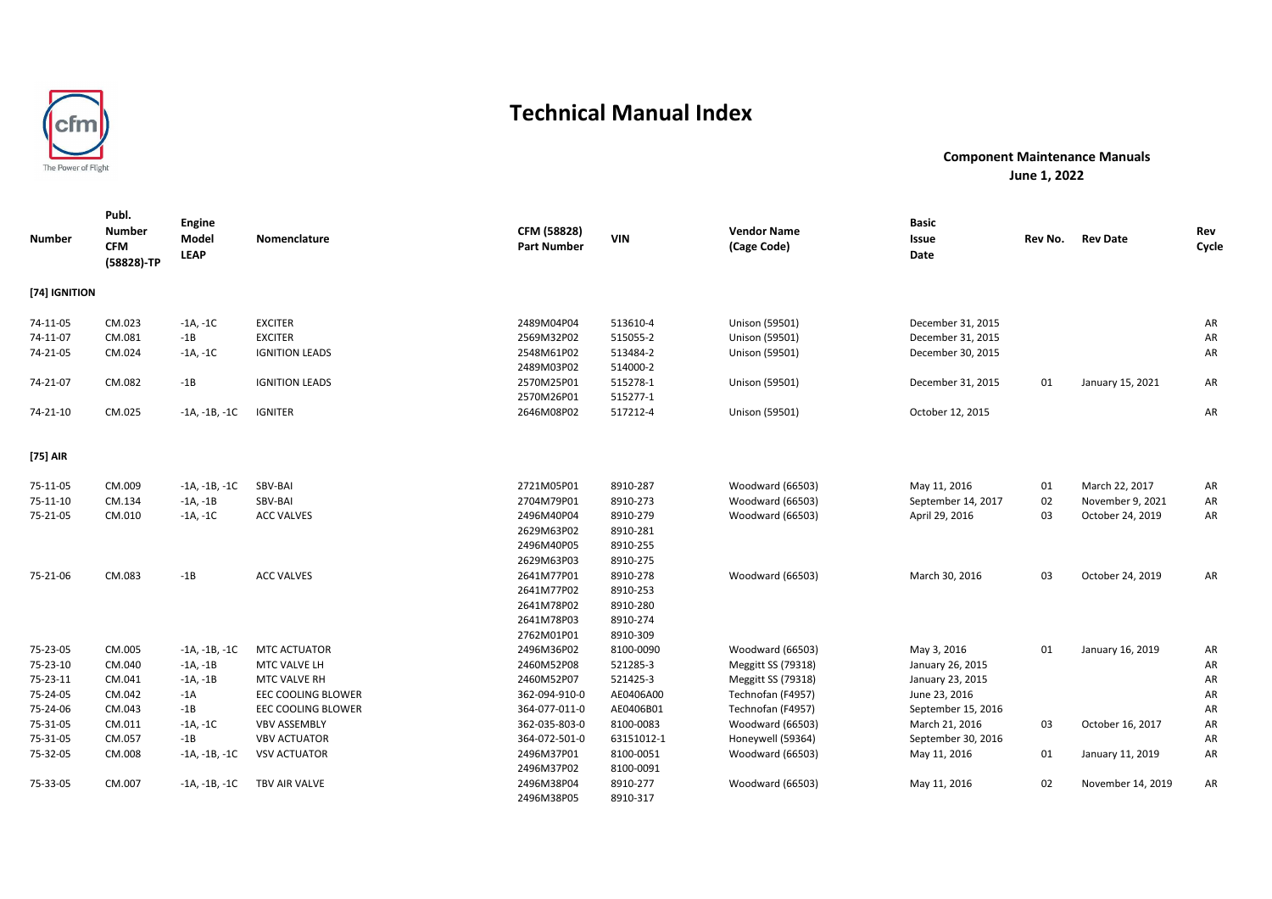

| <b>Number</b> | Publ.<br><b>Number</b><br><b>CFM</b><br>(58828)-TP | <b>Engine</b><br>Model<br><b>LEAP</b> | Nomenclature          | CFM (58828)<br><b>Part Number</b> | <b>VIN</b> | <b>Vendor Name</b><br>(Cage Code) | <b>Basic</b><br>Issue<br>Date | Rev No. | <b>Rev Date</b>   | Rev<br>Cycle |
|---------------|----------------------------------------------------|---------------------------------------|-----------------------|-----------------------------------|------------|-----------------------------------|-------------------------------|---------|-------------------|--------------|
| [74] IGNITION |                                                    |                                       |                       |                                   |            |                                   |                               |         |                   |              |
| 74-11-05      | CM.023                                             | $-1A, -1C$                            | <b>EXCITER</b>        | 2489M04P04                        | 513610-4   | Unison (59501)                    | December 31, 2015             |         |                   | AR           |
| 74-11-07      | CM.081                                             | $-1B$                                 | <b>EXCITER</b>        | 2569M32P02                        | 515055-2   | Unison (59501)                    | December 31, 2015             |         |                   | AR           |
| 74-21-05      | CM.024                                             | $-1A, -1C$                            | <b>IGNITION LEADS</b> | 2548M61P02                        | 513484-2   | Unison (59501)                    | December 30, 2015             |         |                   | AR           |
|               |                                                    |                                       |                       | 2489M03P02                        | 514000-2   |                                   |                               |         |                   |              |
| 74-21-07      | CM.082                                             | $-1B$                                 | <b>IGNITION LEADS</b> | 2570M25P01                        | 515278-1   | Unison (59501)                    | December 31, 2015             | 01      | January 15, 2021  | AR           |
|               |                                                    |                                       |                       | 2570M26P01                        | 515277-1   |                                   |                               |         |                   |              |
| 74-21-10      | CM.025                                             | $-1A, -1B, -1C$                       | <b>IGNITER</b>        | 2646M08P02                        | 517212-4   | Unison (59501)                    | October 12, 2015              |         |                   | AR           |
| [75] AIR      |                                                    |                                       |                       |                                   |            |                                   |                               |         |                   |              |
| 75-11-05      | CM.009                                             | $-1A, -1B, -1C$                       | SBV-BAI               | 2721M05P01                        | 8910-287   | Woodward (66503)                  | May 11, 2016                  | 01      | March 22, 2017    | AR           |
| 75-11-10      | CM.134                                             | $-1A, -1B$                            | SBV-BAI               | 2704M79P01                        | 8910-273   | Woodward (66503)                  | September 14, 2017            | 02      | November 9, 2021  | AR           |
| 75-21-05      | CM.010                                             | $-1A, -1C$                            | <b>ACC VALVES</b>     | 2496M40P04                        | 8910-279   | Woodward (66503)                  | April 29, 2016                | 03      | October 24, 2019  | AR           |
|               |                                                    |                                       |                       | 2629M63P02                        | 8910-281   |                                   |                               |         |                   |              |
|               |                                                    |                                       |                       | 2496M40P05                        | 8910-255   |                                   |                               |         |                   |              |
|               |                                                    |                                       |                       | 2629M63P03                        | 8910-275   |                                   |                               |         |                   |              |
| 75-21-06      | CM.083                                             | $-1B$                                 | <b>ACC VALVES</b>     | 2641M77P01                        | 8910-278   | Woodward (66503)                  | March 30, 2016                | 03      | October 24, 2019  | AR           |
|               |                                                    |                                       |                       | 2641M77P02                        | 8910-253   |                                   |                               |         |                   |              |
|               |                                                    |                                       |                       | 2641M78P02                        | 8910-280   |                                   |                               |         |                   |              |
|               |                                                    |                                       |                       | 2641M78P03                        | 8910-274   |                                   |                               |         |                   |              |
|               |                                                    |                                       |                       | 2762M01P01                        | 8910-309   |                                   |                               |         |                   |              |
| 75-23-05      | CM.005                                             | $-1A, -1B, -1C$                       | <b>MTC ACTUATOR</b>   | 2496M36P02                        | 8100-0090  | Woodward (66503)                  | May 3, 2016                   | 01      | January 16, 2019  | AR           |
| 75-23-10      | CM.040                                             | $-1A, -1B$                            | MTC VALVE LH          | 2460M52P08                        | 521285-3   | Meggitt SS (79318)                | January 26, 2015              |         |                   | AR           |
| 75-23-11      | CM.041                                             | $-1A, -1B$                            | MTC VALVE RH          | 2460M52P07                        | 521425-3   | Meggitt SS (79318)                | January 23, 2015              |         |                   | AR           |
| 75-24-05      | CM.042                                             | $-1A$                                 | EEC COOLING BLOWER    | 362-094-910-0                     | AE0406A00  | Technofan (F4957)                 | June 23, 2016                 |         |                   | AR           |
| 75-24-06      | CM.043                                             | $-1B$                                 | EEC COOLING BLOWER    | 364-077-011-0                     | AE0406B01  | Technofan (F4957)                 | September 15, 2016            |         |                   | AR           |
| 75-31-05      | CM.011                                             | $-1A, -1C$                            | <b>VBV ASSEMBLY</b>   | 362-035-803-0                     | 8100-0083  | Woodward (66503)                  | March 21, 2016                | 03      | October 16, 2017  | AR           |
| 75-31-05      | CM.057                                             | $-1B$                                 | <b>VBV ACTUATOR</b>   | 364-072-501-0                     | 63151012-1 | Honeywell (59364)                 | September 30, 2016            |         |                   | AR           |
| 75-32-05      | CM.008                                             | $-1A, -1B, -1C$                       | <b>VSV ACTUATOR</b>   | 2496M37P01                        | 8100-0051  | Woodward (66503)                  | May 11, 2016                  | 01      | January 11, 2019  | AR           |
|               |                                                    |                                       |                       | 2496M37P02                        | 8100-0091  |                                   |                               |         |                   |              |
| 75-33-05      | CM.007                                             | $-1A, -1B, -1C$                       | TBV AIR VALVE         | 2496M38P04                        | 8910-277   | Woodward (66503)                  | May 11, 2016                  | 02      | November 14, 2019 | AR           |
|               |                                                    |                                       |                       | 2496M38P05                        | 8910-317   |                                   |                               |         |                   |              |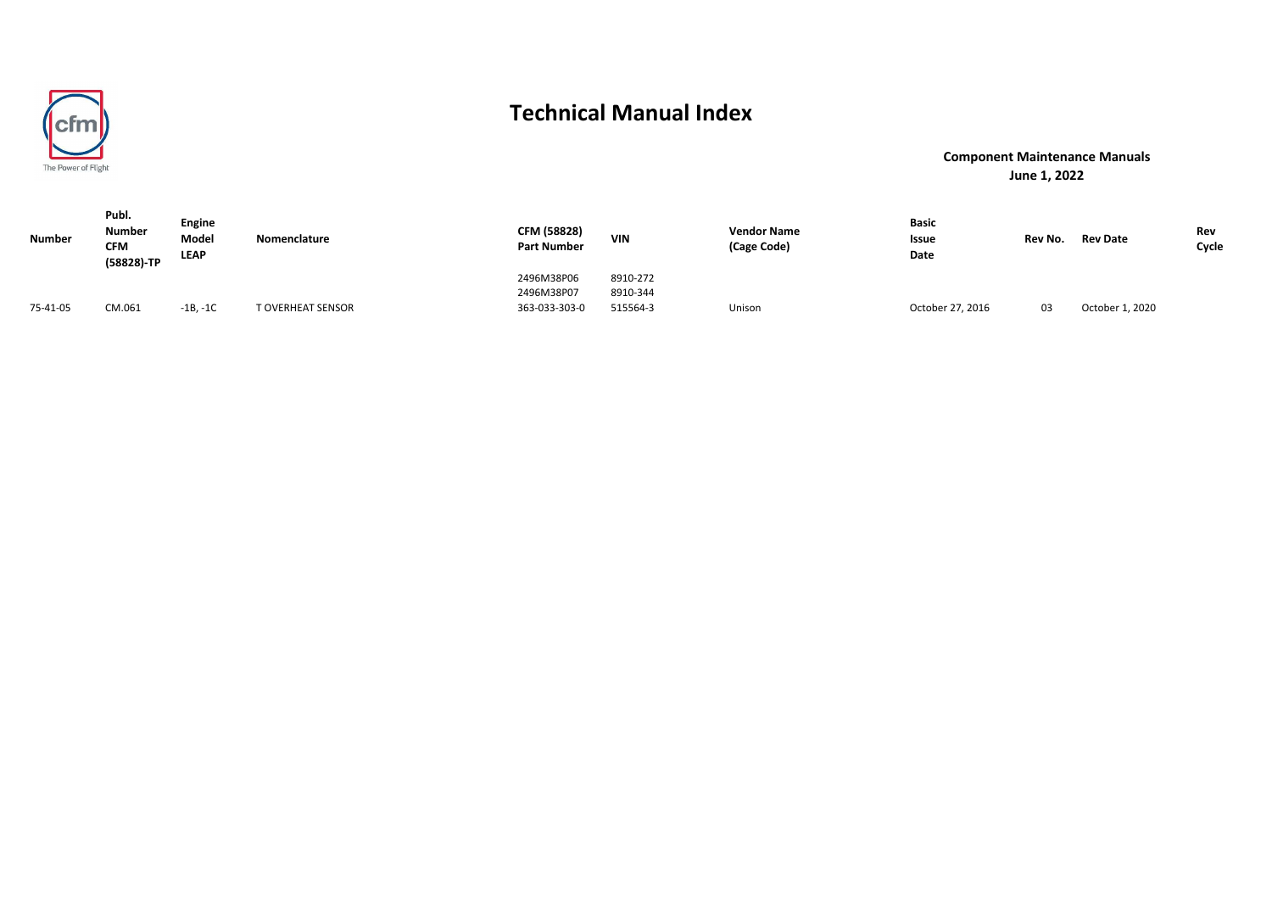

| <b>Number</b> | Publ.<br><b>Number</b><br><b>CFM</b><br>(58828)-TP | <b>Engine</b><br>Model<br><b>LEAP</b> | Nomenclature      | CFM (58828)<br><b>Part Number</b> | <b>VIN</b> | <b>Vendor Name</b><br>(Cage Code) | Basic<br>Issue<br>Date | Rev No. | <b>Rev Date</b> | Rev<br>Cycle |
|---------------|----------------------------------------------------|---------------------------------------|-------------------|-----------------------------------|------------|-----------------------------------|------------------------|---------|-----------------|--------------|
|               |                                                    |                                       |                   | 2496M38P06                        | 8910-272   |                                   |                        |         |                 |              |
|               |                                                    |                                       |                   | 2496M38P07                        | 8910-344   |                                   |                        |         |                 |              |
| 75-41-05      | CM.061                                             | $-1B, -1C$                            | T OVERHEAT SENSOR | 363-033-303-0                     | 515564-3   | Unison                            | October 27, 2016       | 03      | October 1, 2020 |              |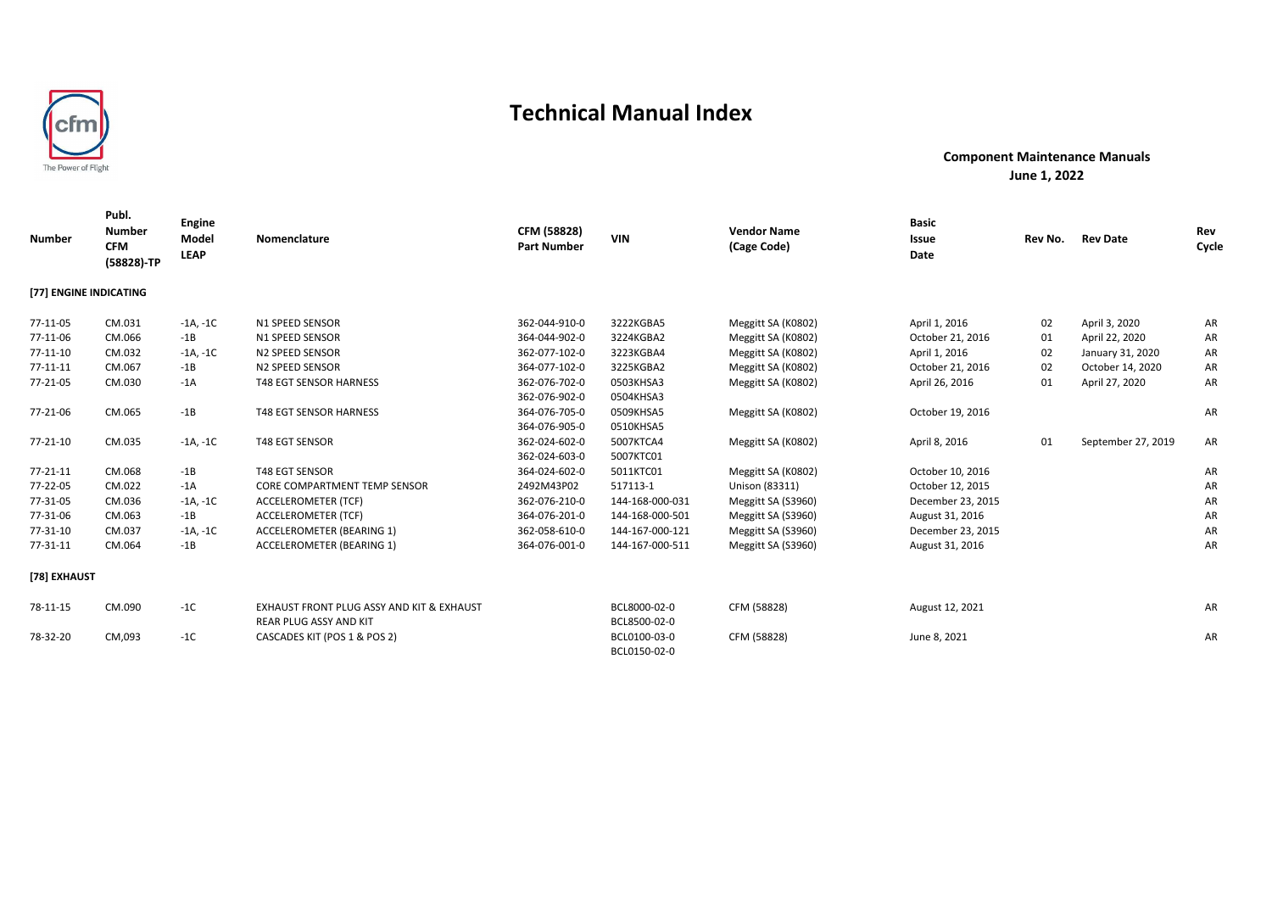

| <b>Number</b>          | Publ.<br><b>Number</b><br><b>CFM</b><br>(58828)-TP | Engine<br>Model<br><b>LEAP</b> | Nomenclature                                                                          | CFM (58828)<br><b>Part Number</b> | <b>VIN</b>                   | <b>Vendor Name</b><br>(Cage Code) | <b>Basic</b><br>Issue<br>Date | Rev No. | <b>Rev Date</b>    | Rev<br>Cycle |
|------------------------|----------------------------------------------------|--------------------------------|---------------------------------------------------------------------------------------|-----------------------------------|------------------------------|-----------------------------------|-------------------------------|---------|--------------------|--------------|
| [77] ENGINE INDICATING |                                                    |                                |                                                                                       |                                   |                              |                                   |                               |         |                    |              |
| 77-11-05               | CM.031                                             | $-1A, -1C$                     | N1 SPEED SENSOR                                                                       | 362-044-910-0                     | 3222KGBA5                    | Meggitt SA (K0802)                | April 1, 2016                 | 02      | April 3, 2020      | AR           |
| 77-11-06               | CM.066                                             | $-1B$                          | N1 SPEED SENSOR                                                                       | 364-044-902-0                     | 3224KGBA2                    | Meggitt SA (K0802)                | October 21, 2016              | 01      | April 22, 2020     | AR           |
| $77 - 11 - 10$         | CM.032                                             | $-1A, -1C$                     | N2 SPEED SENSOR                                                                       | 362-077-102-0                     | 3223KGBA4                    | Meggitt SA (K0802)                | April 1, 2016                 | 02      | January 31, 2020   | AR           |
| 77-11-11               | CM.067                                             | $-1B$                          | N2 SPEED SENSOR                                                                       | 364-077-102-0                     | 3225KGBA2                    | Meggitt SA (K0802)                | October 21, 2016              | 02      | October 14, 2020   | AR           |
| 77-21-05               | CM.030                                             | $-1A$                          | <b>T48 EGT SENSOR HARNESS</b>                                                         | 362-076-702-0                     | 0503KHSA3                    | Meggitt SA (K0802)                | April 26, 2016                | 01      | April 27, 2020     | AR           |
|                        |                                                    |                                |                                                                                       | 362-076-902-0                     | 0504KHSA3                    |                                   |                               |         |                    |              |
| 77-21-06               | CM.065                                             | $-1B$                          | <b>T48 EGT SENSOR HARNESS</b>                                                         | 364-076-705-0                     | 0509KHSA5                    | Meggitt SA (K0802)                | October 19, 2016              |         |                    | AR           |
|                        |                                                    |                                |                                                                                       | 364-076-905-0                     | 0510KHSA5                    |                                   |                               |         |                    |              |
| 77-21-10               | CM.035                                             | $-1A, -1C$                     | <b>T48 EGT SENSOR</b>                                                                 | 362-024-602-0                     | 5007KTCA4                    | Meggitt SA (K0802)                | April 8, 2016                 | 01      | September 27, 2019 | AR           |
|                        |                                                    |                                |                                                                                       | 362-024-603-0                     | 5007KTC01                    |                                   |                               |         |                    |              |
| 77-21-11               | CM.068                                             | $-1B$                          | <b>T48 EGT SENSOR</b>                                                                 | 364-024-602-0                     | 5011KTC01                    | Meggitt SA (K0802)                | October 10, 2016              |         |                    | AR           |
| 77-22-05               | CM.022                                             | $-1A$                          | <b>CORE COMPARTMENT TEMP SENSOR</b>                                                   | 2492M43P02                        | 517113-1                     | Unison (83311)                    | October 12, 2015              |         |                    | AR           |
| 77-31-05               | CM.036                                             | $-1A, -1C$                     | ACCELEROMETER (TCF)                                                                   | 362-076-210-0                     | 144-168-000-031              | Meggitt SA (S3960)                | December 23, 2015             |         |                    | AR           |
| 77-31-06               | CM.063                                             | $-1B$                          | ACCELEROMETER (TCF)                                                                   | 364-076-201-0                     | 144-168-000-501              | Meggitt SA (S3960)                | August 31, 2016               |         |                    | AR           |
| 77-31-10               | CM.037                                             | $-1A, -1C$                     | ACCELEROMETER (BEARING 1)                                                             | 362-058-610-0                     | 144-167-000-121              | Meggitt SA (S3960)                | December 23, 2015             |         |                    | AR           |
| 77-31-11               | CM.064                                             | $-1B$                          | ACCELEROMETER (BEARING 1)                                                             | 364-076-001-0                     | 144-167-000-511              | Meggitt SA (S3960)                | August 31, 2016               |         |                    | AR           |
| [78] EXHAUST           |                                                    |                                |                                                                                       |                                   |                              |                                   |                               |         |                    |              |
| 78-11-15               | CM.090                                             | $-1C$                          | <b>EXHAUST FRONT PLUG ASSY AND KIT &amp; EXHAUST</b><br><b>REAR PLUG ASSY AND KIT</b> |                                   | BCL8000-02-0<br>BCL8500-02-0 | CFM (58828)                       | August 12, 2021               |         |                    | AR           |
| 78-32-20               | CM,093                                             | $-1C$                          | CASCADES KIT (POS 1 & POS 2)                                                          |                                   | BCL0100-03-0<br>BCL0150-02-0 | CFM (58828)                       | June 8, 2021                  |         |                    | AR           |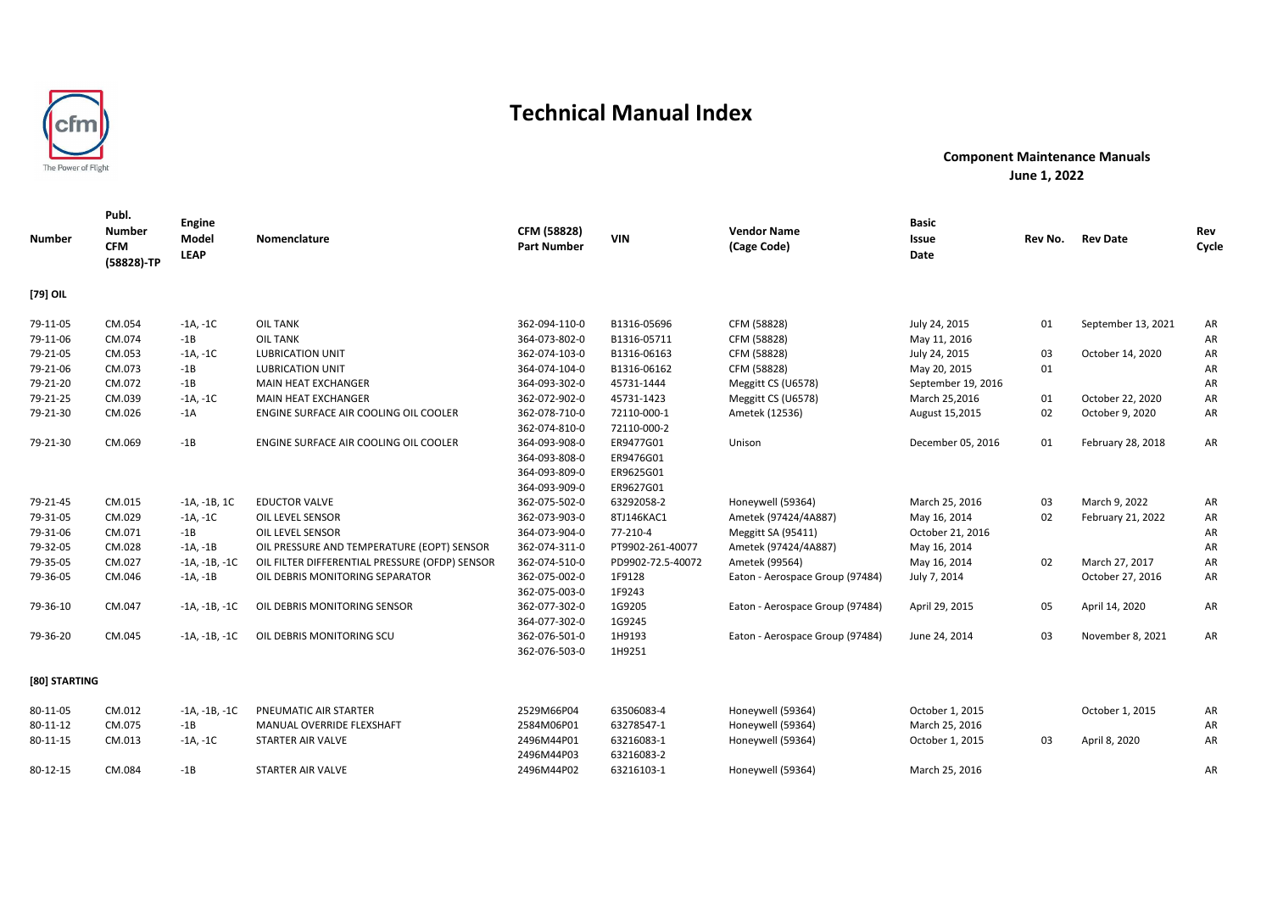

| Number        | Publ.<br><b>Number</b><br><b>CFM</b><br>(58828)-TP | Engine<br>Model<br><b>LEAP</b> | Nomenclature                                   | CFM (58828)<br><b>Part Number</b>                                | <b>VIN</b>                                       | <b>Vendor Name</b><br>(Cage Code) | <b>Basic</b><br>Issue<br>Date | Rev No. | <b>Rev Date</b>    | Rev<br>Cycle |
|---------------|----------------------------------------------------|--------------------------------|------------------------------------------------|------------------------------------------------------------------|--------------------------------------------------|-----------------------------------|-------------------------------|---------|--------------------|--------------|
| [79] OIL      |                                                    |                                |                                                |                                                                  |                                                  |                                   |                               |         |                    |              |
| 79-11-05      | CM.054                                             | -1A, -1C                       | <b>OIL TANK</b>                                | 362-094-110-0                                                    | B1316-05696                                      | CFM (58828)                       | July 24, 2015                 | 01      | September 13, 2021 | AR           |
| 79-11-06      | CM.074                                             | $-1B$                          | <b>OIL TANK</b>                                | 364-073-802-0                                                    | B1316-05711                                      | CFM (58828)                       | May 11, 2016                  |         |                    | AR           |
| 79-21-05      | CM.053                                             | $-1A, -1C$                     | <b>LUBRICATION UNIT</b>                        | 362-074-103-0                                                    | B1316-06163                                      | CFM (58828)                       | July 24, 2015                 | 03      | October 14, 2020   | AR           |
| 79-21-06      | CM.073                                             | $-1B$                          | <b>LUBRICATION UNIT</b>                        | 364-074-104-0                                                    | B1316-06162                                      | CFM (58828)                       | May 20, 2015                  | 01      |                    | AR           |
| 79-21-20      | CM.072                                             | $-1B$                          | MAIN HEAT EXCHANGER                            | 364-093-302-0                                                    | 45731-1444                                       | Meggitt CS (U6578)                | September 19, 2016            |         |                    | AR           |
| 79-21-25      | CM.039                                             | $-1A, -1C$                     | MAIN HEAT EXCHANGER                            | 362-072-902-0                                                    | 45731-1423                                       | Meggitt CS (U6578)                | March 25,2016                 | 01      | October 22, 2020   | AR           |
| 79-21-30      | CM.026                                             | $-1A$                          | ENGINE SURFACE AIR COOLING OIL COOLER          | 362-078-710-0<br>362-074-810-0                                   | 72110-000-1<br>72110-000-2                       | Ametek (12536)                    | August 15,2015                | 02      | October 9, 2020    | AR           |
| 79-21-30      | CM.069                                             | $-1B$                          | ENGINE SURFACE AIR COOLING OIL COOLER          | 364-093-908-0<br>364-093-808-0<br>364-093-809-0<br>364-093-909-0 | ER9477G01<br>ER9476G01<br>ER9625G01<br>ER9627G01 | Unison                            | December 05, 2016             | 01      | February 28, 2018  | AR           |
| 79-21-45      | CM.015                                             | $-1A, -1B, 1C$                 | <b>EDUCTOR VALVE</b>                           | 362-075-502-0                                                    | 63292058-2                                       | Honeywell (59364)                 | March 25, 2016                | 03      | March 9, 2022      | AR           |
| 79-31-05      | CM.029                                             | $-1A, -1C$                     | OIL LEVEL SENSOR                               | 362-073-903-0                                                    | 8TJ146KAC1                                       | Ametek (97424/4A887)              | May 16, 2014                  | 02      | February 21, 2022  | AR           |
| 79-31-06      | CM.071                                             | $-1B$                          | OIL LEVEL SENSOR                               | 364-073-904-0                                                    | 77-210-4                                         | Meggitt SA (95411)                | October 21, 2016              |         |                    | AR           |
| 79-32-05      | CM.028                                             | $-1A, -1B$                     | OIL PRESSURE AND TEMPERATURE (EOPT) SENSOR     | 362-074-311-0                                                    | PT9902-261-40077                                 | Ametek (97424/4A887)              | May 16, 2014                  |         |                    | AR           |
| 79-35-05      | CM.027                                             | $-1A, -1B, -1C$                | OIL FILTER DIFFERENTIAL PRESSURE (OFDP) SENSOR | 362-074-510-0                                                    | PD9902-72.5-40072                                | Ametek (99564)                    | May 16, 2014                  | 02      | March 27, 2017     | AR           |
| 79-36-05      | CM.046                                             | $-1A, -1B$                     | OIL DEBRIS MONITORING SEPARATOR                | 362-075-002-0<br>362-075-003-0                                   | 1F9128<br>1F9243                                 | Eaton - Aerospace Group (97484)   | July 7, 2014                  |         | October 27, 2016   | AR           |
| 79-36-10      | CM.047                                             | -1A, -1B, -1C                  | OIL DEBRIS MONITORING SENSOR                   | 362-077-302-0<br>364-077-302-0                                   | 1G9205<br>1G9245                                 | Eaton - Aerospace Group (97484)   | April 29, 2015                | 05      | April 14, 2020     | AR           |
| 79-36-20      | CM.045                                             | $-1A, -1B, -1C$                | OIL DEBRIS MONITORING SCU                      | 362-076-501-0<br>362-076-503-0                                   | 1H9193<br>1H9251                                 | Eaton - Aerospace Group (97484)   | June 24, 2014                 | 03      | November 8, 2021   | AR           |
| [80] STARTING |                                                    |                                |                                                |                                                                  |                                                  |                                   |                               |         |                    |              |
| 80-11-05      | CM.012                                             | $-1A, -1B, -1C$                | PNEUMATIC AIR STARTER                          | 2529M66P04                                                       | 63506083-4                                       | Honeywell (59364)                 | October 1, 2015               |         | October 1, 2015    | AR           |
| 80-11-12      | CM.075                                             | $-1B$                          | MANUAL OVERRIDE FLEXSHAFT                      | 2584M06P01                                                       | 63278547-1                                       | Honeywell (59364)                 | March 25, 2016                |         |                    | AR           |
| 80-11-15      | CM.013                                             | $-1A, -1C$                     | STARTER AIR VALVE                              | 2496M44P01<br>2496M44P03                                         | 63216083-1<br>63216083-2                         | Honeywell (59364)                 | October 1, 2015               | 03      | April 8, 2020      | AR           |
| 80-12-15      | CM.084                                             | -1B                            | STARTER AIR VALVE                              | 2496M44P02                                                       | 63216103-1                                       | Honeywell (59364)                 | March 25, 2016                |         |                    | AR           |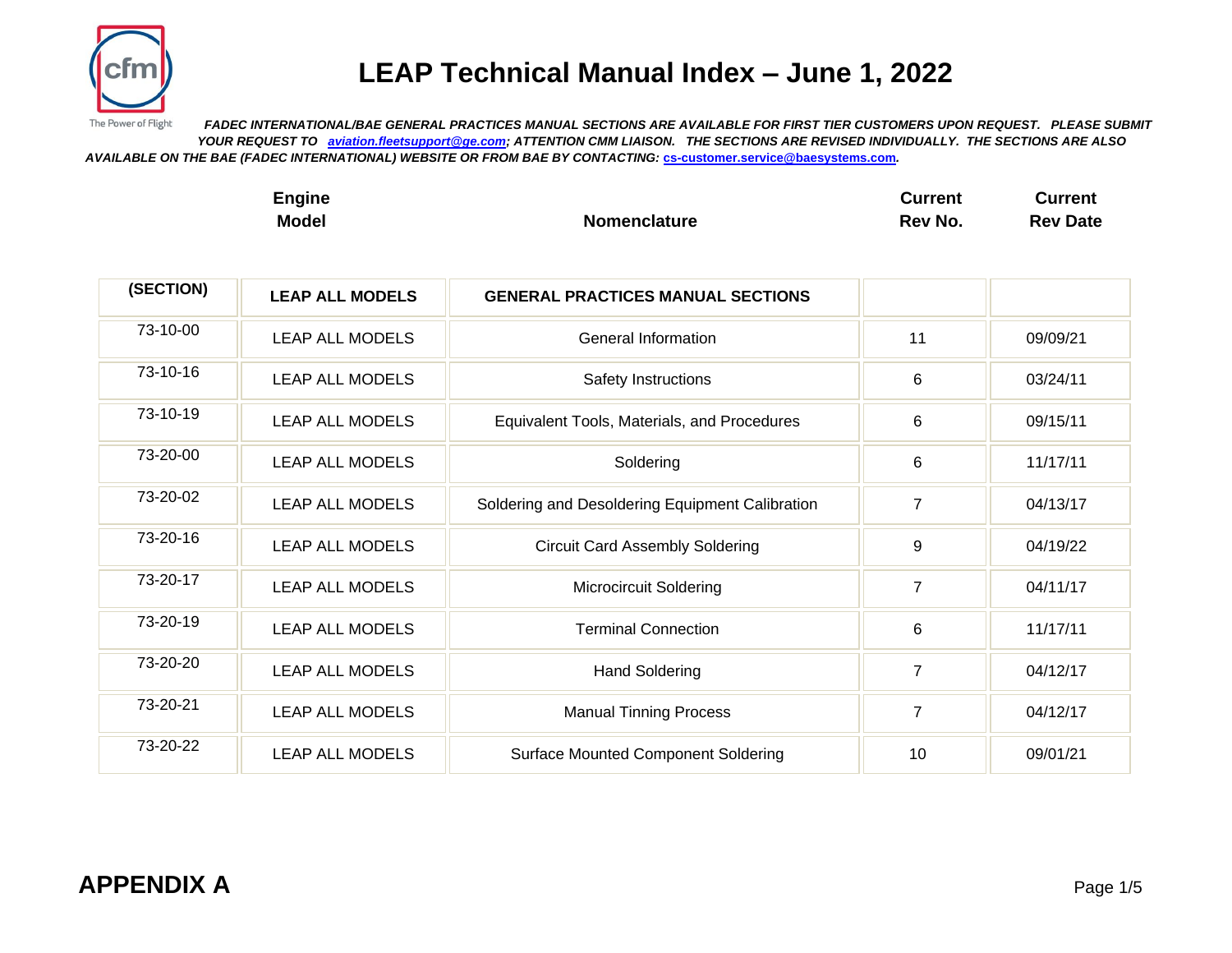

The Power of Flight  *FADEC INTERNATIONAL/BAE GENERAL PRACTICES MANUAL SECTIONS ARE AVAILABLE FOR FIRST TIER CUSTOMERS UPON REQUEST. PLEASE SUBMIT YOUR REQUEST TO [aviation.fleetsupport@ge.com;](mailto:aviation.fleetsupport@ge.com) ATTENTION CMM LIAISON. THE SECTIONS ARE REVISED INDIVIDUALLY. THE SECTIONS ARE ALSO AVAILABLE ON THE BAE (FADEC INTERNATIONAL) WEBSITE OR FROM BAE BY CONTACTING:* **[cs-customer.service@baesystems.com](mailto:cs-customer.service@baesystems.com)***.*

| Engine       |                     | Current | Current         |
|--------------|---------------------|---------|-----------------|
| <b>Model</b> | <b>Nomenclature</b> | Rev No. | <b>Rev Date</b> |

| (SECTION) | <b>LEAP ALL MODELS</b> | <b>GENERAL PRACTICES MANUAL SECTIONS</b>        |                |          |
|-----------|------------------------|-------------------------------------------------|----------------|----------|
| 73-10-00  | <b>LEAP ALL MODELS</b> | General Information                             | 11             | 09/09/21 |
| 73-10-16  | LEAP ALL MODELS        | Safety Instructions                             | 6              | 03/24/11 |
| 73-10-19  | <b>LEAP ALL MODELS</b> | Equivalent Tools, Materials, and Procedures     | 6              | 09/15/11 |
| 73-20-00  | <b>LEAP ALL MODELS</b> | Soldering                                       | 6              | 11/17/11 |
| 73-20-02  | <b>LEAP ALL MODELS</b> | Soldering and Desoldering Equipment Calibration | $\overline{7}$ | 04/13/17 |
| 73-20-16  | <b>LEAP ALL MODELS</b> | <b>Circuit Card Assembly Soldering</b>          | 9              | 04/19/22 |
| 73-20-17  | <b>LEAP ALL MODELS</b> | <b>Microcircuit Soldering</b>                   | $\overline{7}$ | 04/11/17 |
| 73-20-19  | <b>LEAP ALL MODELS</b> | <b>Terminal Connection</b>                      | 6              | 11/17/11 |
| 73-20-20  | <b>LEAP ALL MODELS</b> | <b>Hand Soldering</b>                           | $\overline{7}$ | 04/12/17 |
| 73-20-21  | <b>LEAP ALL MODELS</b> | <b>Manual Tinning Process</b>                   | $\overline{7}$ | 04/12/17 |
| 73-20-22  | <b>LEAP ALL MODELS</b> | <b>Surface Mounted Component Soldering</b>      | 10             | 09/01/21 |
|           |                        |                                                 |                |          |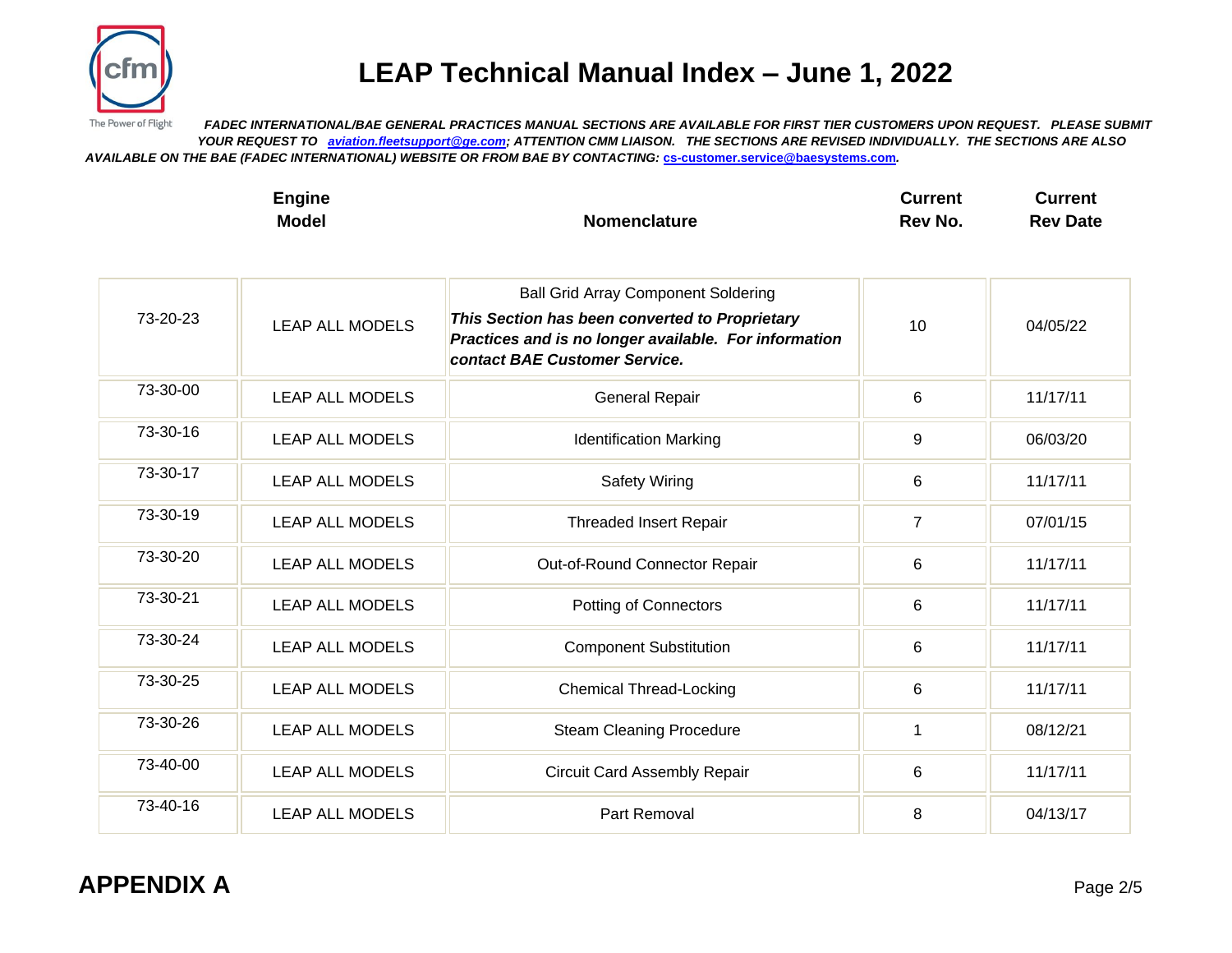

The Power of Flight  *FADEC INTERNATIONAL/BAE GENERAL PRACTICES MANUAL SECTIONS ARE AVAILABLE FOR FIRST TIER CUSTOMERS UPON REQUEST. PLEASE SUBMIT YOUR REQUEST TO [aviation.fleetsupport@ge.com;](mailto:aviation.fleetsupport@ge.com) ATTENTION CMM LIAISON. THE SECTIONS ARE REVISED INDIVIDUALLY. THE SECTIONS ARE ALSO AVAILABLE ON THE BAE (FADEC INTERNATIONAL) WEBSITE OR FROM BAE BY CONTACTING:* **[cs-customer.service@baesystems.com](mailto:cs-customer.service@baesystems.com)***.*

| ∠ngine       |                     | Current | Current         |
|--------------|---------------------|---------|-----------------|
| <b>Model</b> | <b>Nomenclature</b> | Rev No. | <b>Rev Date</b> |

| 73-20-23 | <b>LEAP ALL MODELS</b> | <b>Ball Grid Array Component Soldering</b><br>This Section has been converted to Proprietary<br>Practices and is no longer available. For information<br>contact BAE Customer Service. | 10             | 04/05/22 |
|----------|------------------------|----------------------------------------------------------------------------------------------------------------------------------------------------------------------------------------|----------------|----------|
| 73-30-00 | <b>LEAP ALL MODELS</b> | <b>General Repair</b>                                                                                                                                                                  | 6              | 11/17/11 |
| 73-30-16 | <b>LEAP ALL MODELS</b> | <b>Identification Marking</b>                                                                                                                                                          | 9              | 06/03/20 |
| 73-30-17 | <b>LEAP ALL MODELS</b> | <b>Safety Wiring</b>                                                                                                                                                                   | 6              | 11/17/11 |
| 73-30-19 | <b>LEAP ALL MODELS</b> | <b>Threaded Insert Repair</b>                                                                                                                                                          | $\overline{7}$ | 07/01/15 |
| 73-30-20 | <b>LEAP ALL MODELS</b> | Out-of-Round Connector Repair                                                                                                                                                          | 6              | 11/17/11 |
| 73-30-21 | <b>LEAP ALL MODELS</b> | <b>Potting of Connectors</b>                                                                                                                                                           | 6              | 11/17/11 |
| 73-30-24 | <b>LEAP ALL MODELS</b> | <b>Component Substitution</b>                                                                                                                                                          | 6              | 11/17/11 |
| 73-30-25 | <b>LEAP ALL MODELS</b> | <b>Chemical Thread-Locking</b>                                                                                                                                                         | 6              | 11/17/11 |
| 73-30-26 | <b>LEAP ALL MODELS</b> | <b>Steam Cleaning Procedure</b>                                                                                                                                                        | 1              | 08/12/21 |
| 73-40-00 | <b>LEAP ALL MODELS</b> | <b>Circuit Card Assembly Repair</b>                                                                                                                                                    | 6              | 11/17/11 |
| 73-40-16 | <b>LEAP ALL MODELS</b> | Part Removal                                                                                                                                                                           | 8              | 04/13/17 |

### **APPENDIX A** Page 2/5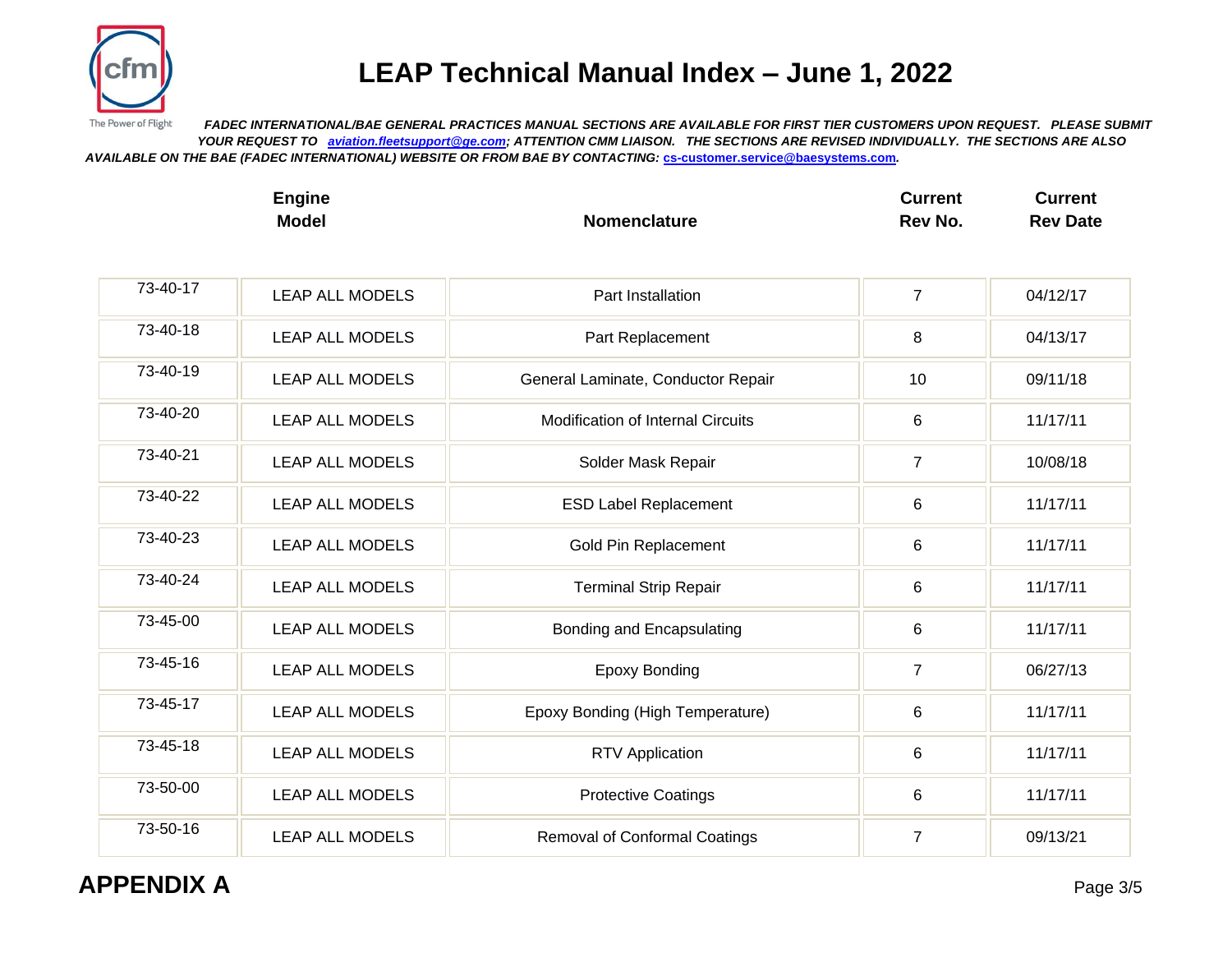

The Power of Flight  *FADEC INTERNATIONAL/BAE GENERAL PRACTICES MANUAL SECTIONS ARE AVAILABLE FOR FIRST TIER CUSTOMERS UPON REQUEST. PLEASE SUBMIT YOUR REQUEST TO [aviation.fleetsupport@ge.com;](mailto:aviation.fleetsupport@ge.com) ATTENTION CMM LIAISON. THE SECTIONS ARE REVISED INDIVIDUALLY. THE SECTIONS ARE ALSO AVAILABLE ON THE BAE (FADEC INTERNATIONAL) WEBSITE OR FROM BAE BY CONTACTING:* **[cs-customer.service@baesystems.com](mailto:cs-customer.service@baesystems.com)***.*

| Engine       |                     | Current | Current         |
|--------------|---------------------|---------|-----------------|
| <b>Model</b> | <b>Nomenclature</b> | Rev No. | <b>Rev Date</b> |

| 73-40-17 | <b>LEAP ALL MODELS</b> | Part Installation                        | $\overline{7}$ | 04/12/17 |
|----------|------------------------|------------------------------------------|----------------|----------|
| 73-40-18 | <b>LEAP ALL MODELS</b> | Part Replacement                         | 8              | 04/13/17 |
| 73-40-19 | <b>LEAP ALL MODELS</b> | General Laminate, Conductor Repair       | 10             | 09/11/18 |
| 73-40-20 | <b>LEAP ALL MODELS</b> | <b>Modification of Internal Circuits</b> | 6              | 11/17/11 |
| 73-40-21 | <b>LEAP ALL MODELS</b> | Solder Mask Repair                       | $\overline{7}$ | 10/08/18 |
| 73-40-22 | <b>LEAP ALL MODELS</b> | <b>ESD Label Replacement</b>             | $6\phantom{1}$ | 11/17/11 |
| 73-40-23 | <b>LEAP ALL MODELS</b> | Gold Pin Replacement                     | 6              | 11/17/11 |
| 73-40-24 | <b>LEAP ALL MODELS</b> | <b>Terminal Strip Repair</b>             | 6              | 11/17/11 |
| 73-45-00 | <b>LEAP ALL MODELS</b> | Bonding and Encapsulating                | $6\phantom{1}$ | 11/17/11 |
| 73-45-16 | <b>LEAP ALL MODELS</b> | <b>Epoxy Bonding</b>                     | $\overline{7}$ | 06/27/13 |
| 73-45-17 | <b>LEAP ALL MODELS</b> | Epoxy Bonding (High Temperature)         | 6              | 11/17/11 |
| 73-45-18 | <b>LEAP ALL MODELS</b> | <b>RTV Application</b>                   | 6              | 11/17/11 |
| 73-50-00 | <b>LEAP ALL MODELS</b> | <b>Protective Coatings</b>               | 6              | 11/17/11 |
| 73-50-16 | <b>LEAP ALL MODELS</b> | <b>Removal of Conformal Coatings</b>     | $\overline{7}$ | 09/13/21 |

### **APPENDIX A** Page 3/5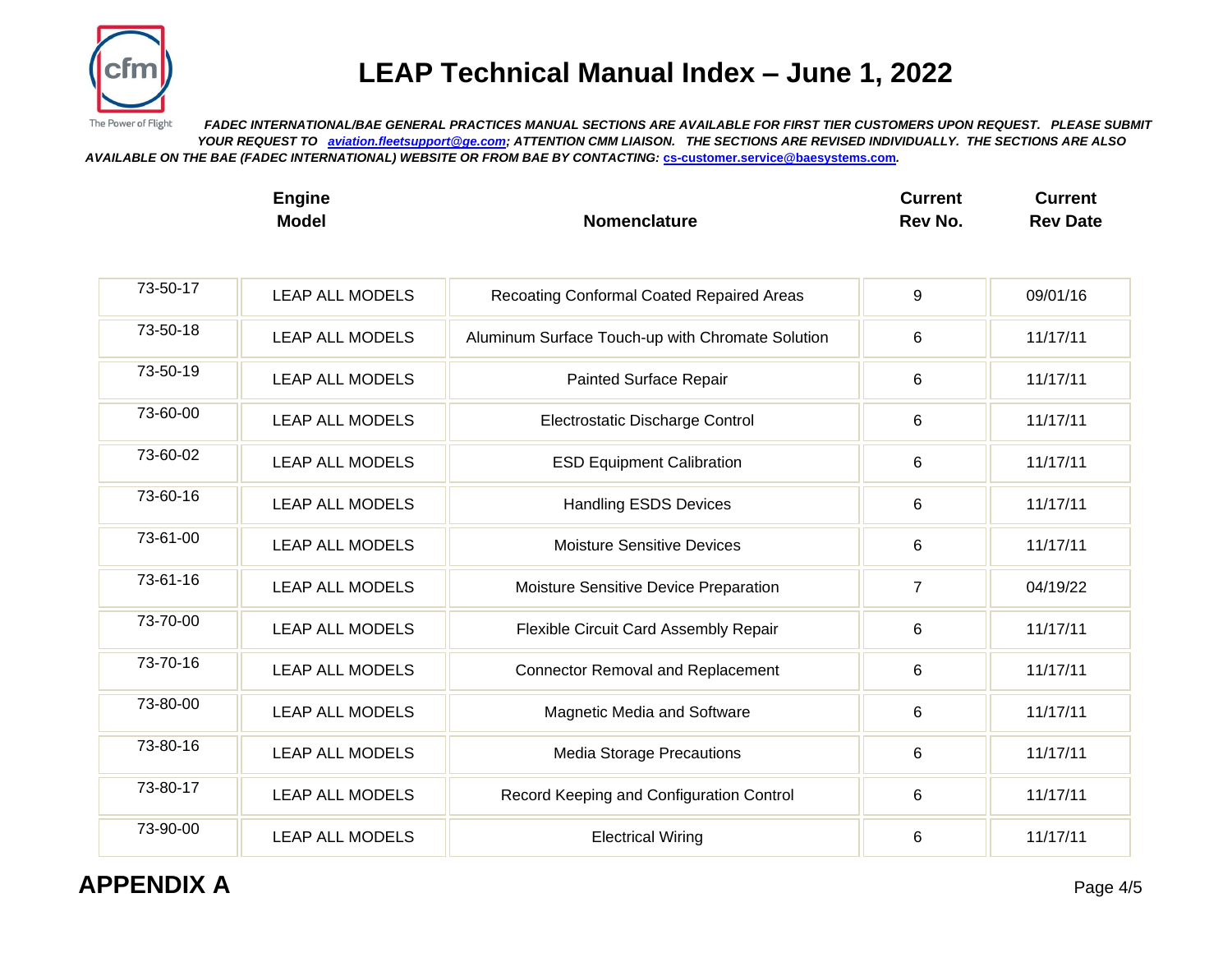

The Power of Flight  *FADEC INTERNATIONAL/BAE GENERAL PRACTICES MANUAL SECTIONS ARE AVAILABLE FOR FIRST TIER CUSTOMERS UPON REQUEST. PLEASE SUBMIT YOUR REQUEST TO [aviation.fleetsupport@ge.com;](mailto:aviation.fleetsupport@ge.com) ATTENTION CMM LIAISON. THE SECTIONS ARE REVISED INDIVIDUALLY. THE SECTIONS ARE ALSO AVAILABLE ON THE BAE (FADEC INTERNATIONAL) WEBSITE OR FROM BAE BY CONTACTING:* **[cs-customer.service@baesystems.com](mailto:cs-customer.service@baesystems.com)***.*

| Engine       |                     | Current | Current         |
|--------------|---------------------|---------|-----------------|
| <b>Model</b> | <b>Nomenclature</b> | Rev No. | <b>Rev Date</b> |

| 73-50-17 | <b>LEAP ALL MODELS</b> | Recoating Conformal Coated Repaired Areas        | 9              | 09/01/16 |
|----------|------------------------|--------------------------------------------------|----------------|----------|
| 73-50-18 | <b>LEAP ALL MODELS</b> | Aluminum Surface Touch-up with Chromate Solution | 6              | 11/17/11 |
| 73-50-19 | <b>LEAP ALL MODELS</b> | Painted Surface Repair                           | 6              | 11/17/11 |
| 73-60-00 | <b>LEAP ALL MODELS</b> | Electrostatic Discharge Control                  | 6              | 11/17/11 |
| 73-60-02 | <b>LEAP ALL MODELS</b> | <b>ESD Equipment Calibration</b>                 | 6              | 11/17/11 |
| 73-60-16 | <b>LEAP ALL MODELS</b> | <b>Handling ESDS Devices</b>                     | $\,6$          | 11/17/11 |
| 73-61-00 | <b>LEAP ALL MODELS</b> | <b>Moisture Sensitive Devices</b>                | 6              | 11/17/11 |
| 73-61-16 | <b>LEAP ALL MODELS</b> | Moisture Sensitive Device Preparation            | $\overline{7}$ | 04/19/22 |
| 73-70-00 | <b>LEAP ALL MODELS</b> | Flexible Circuit Card Assembly Repair            | 6              | 11/17/11 |
| 73-70-16 | <b>LEAP ALL MODELS</b> | <b>Connector Removal and Replacement</b>         | 6              | 11/17/11 |
| 73-80-00 | <b>LEAP ALL MODELS</b> | Magnetic Media and Software                      | 6              | 11/17/11 |
| 73-80-16 | <b>LEAP ALL MODELS</b> | <b>Media Storage Precautions</b>                 | 6              | 11/17/11 |
| 73-80-17 | <b>LEAP ALL MODELS</b> | Record Keeping and Configuration Control         | 6              | 11/17/11 |
| 73-90-00 | <b>LEAP ALL MODELS</b> | <b>Electrical Wiring</b>                         | 6              | 11/17/11 |

**APPENDIX A** Page 4/5